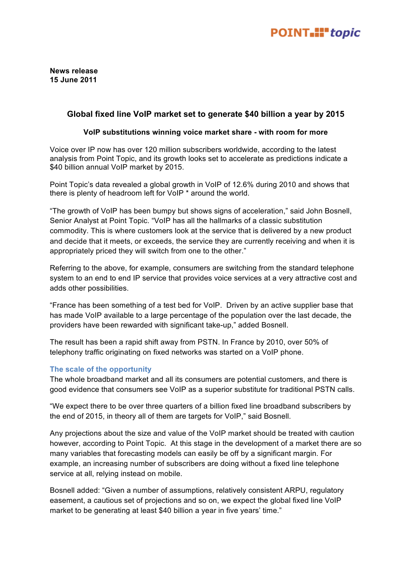# POINT.II" topic

**News release 15 June 2011**

## **Global fixed line VoIP market set to generate \$40 billion a year by 2015**

### **VoIP substitutions winning voice market share - with room for more**

Voice over IP now has over 120 million subscribers worldwide, according to the latest analysis from Point Topic, and its growth looks set to accelerate as predictions indicate a \$40 billion annual VoIP market by 2015.

Point Topic's data revealed a global growth in VoIP of 12.6% during 2010 and shows that there is plenty of headroom left for VoIP \* around the world.

"The growth of VoIP has been bumpy but shows signs of acceleration," said John Bosnell, Senior Analyst at Point Topic. "VoIP has all the hallmarks of a classic substitution commodity. This is where customers look at the service that is delivered by a new product and decide that it meets, or exceeds, the service they are currently receiving and when it is appropriately priced they will switch from one to the other."

Referring to the above, for example, consumers are switching from the standard telephone system to an end to end IP service that provides voice services at a very attractive cost and adds other possibilities.

"France has been something of a test bed for VoIP. Driven by an active supplier base that has made VoIP available to a large percentage of the population over the last decade, the providers have been rewarded with significant take-up," added Bosnell.

The result has been a rapid shift away from PSTN. In France by 2010, over 50% of telephony traffic originating on fixed networks was started on a VoIP phone.

## **The scale of the opportunity**

The whole broadband market and all its consumers are potential customers, and there is good evidence that consumers see VoIP as a superior substitute for traditional PSTN calls.

"We expect there to be over three quarters of a billion fixed line broadband subscribers by the end of 2015, in theory all of them are targets for VoIP," said Bosnell.

Any projections about the size and value of the VoIP market should be treated with caution however, according to Point Topic. At this stage in the development of a market there are so many variables that forecasting models can easily be off by a significant margin. For example, an increasing number of subscribers are doing without a fixed line telephone service at all, relying instead on mobile.

Bosnell added: "Given a number of assumptions, relatively consistent ARPU, regulatory easement, a cautious set of projections and so on, we expect the global fixed line VoIP market to be generating at least \$40 billion a year in five years' time."